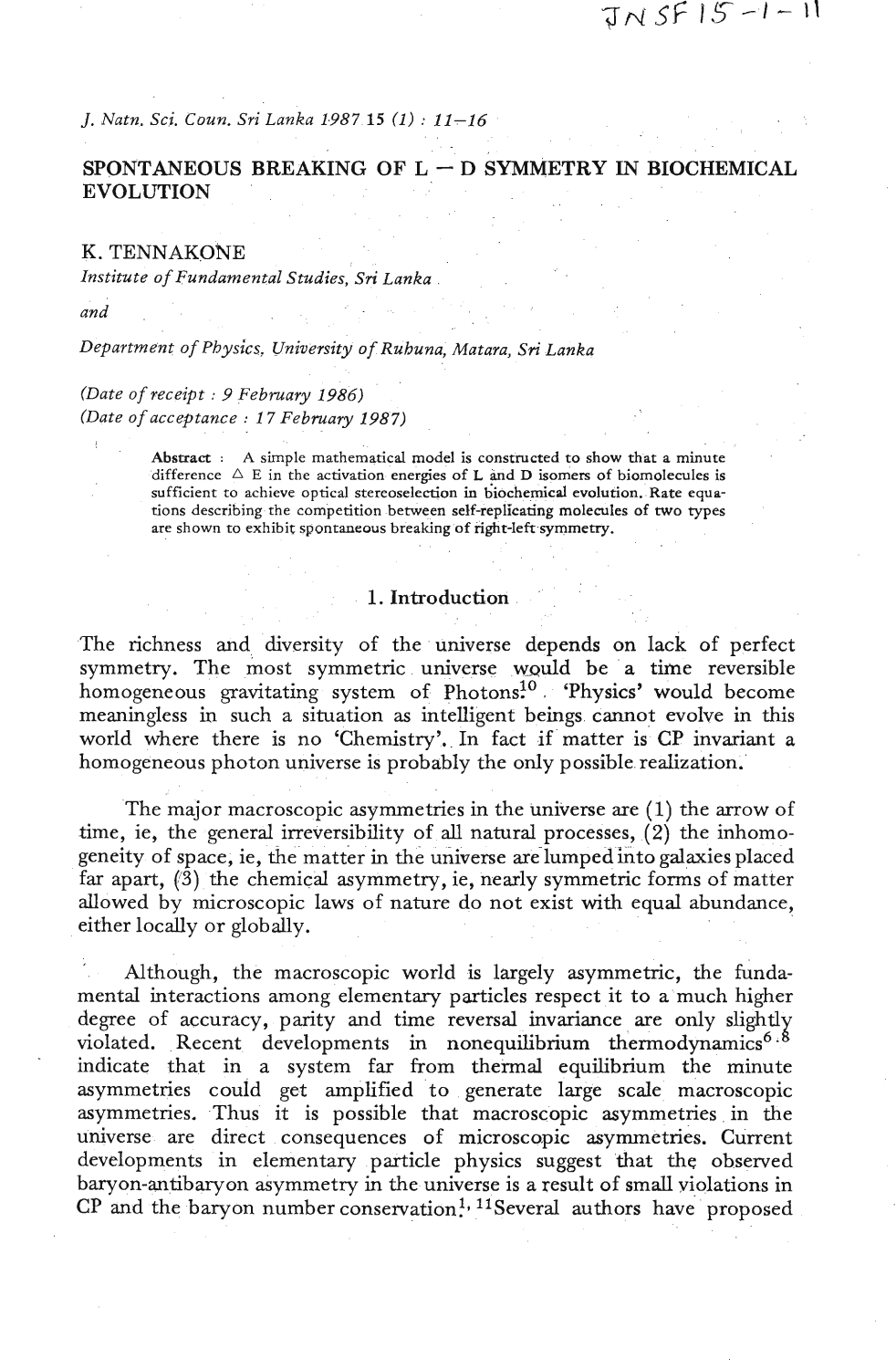*j. Natn. Sci. Coun. Sri Lanka 1987 15 (1)* : *11-16* 

# SPONTANEOUS BREAKING OF  $L - D$  SYMMETRY IN BIOCHEMICAL EVOLUTION

#### K. TENNAKONE

*Institute* **of** *Fundamental Studies, Sri Lanka* 

*and* 

*Department* **of** *Physics. University* **of** *Ruhuna, Matara, Sri Lanka* 

*(Date* **of** *receipt* : **<sup>9</sup>***February 1986) (Date* **of** *acceptance* : *1 7 February 1987)* 

> **Abstract** : **A simple mathematical model is constructed to show that a minute**  difference  $\triangle E$  in the activation energies of **L** and **D** isomers of biomolecules is **sufficient to achieve optical stereoselection in biochemical evolution. Rate equations describing the competition between self-replicating molecules of two types are shown to exhibit spontaneous breaking of right-left symmetry.**

### 1. Introduction

The richness and diversity of the universe depends on lack of perfect symmetry. The most symmetric universe would be a time reversible homogeneous gravitating system of Photons<sup>10</sup> 'Physics' would become meaningless in such a situation as intelligent beings cannot evolve in this world where there is no 'Chemistry'. In fact if matter is CP invariant a homogeneous photon universe is probably the only possible realization.

The major macroscopic asymmetries in the universe are (I) the arrow of time, ie, the general irreversibility of all natural processes, **(2)** the inhomogeneity of space, ie, the matter in the universe are lumped into galaxies placed far apart,  $(3)$  the chemical asymmetry, ie, nearly symmetric forms of matter allowed by microscopic laws of nature do not exist with equal abundance, either locally or globally.

Although, the macroscopic world is largely asymmetric, the fundamental interactions among elementary particles respect it to a'much higher degree of accuracy, parity and time reversal invariance are only slightly violated. Recent developments in nonequilibrium thermodynamics<sup>6.8</sup> indicate that in a system far from thermal equilibrium the minute asymmetries could get amplified to generate large scale macroscopic asymmetries. Thus it is possible that macroscopic asymmetries in the universe are direct consequences of microscopic asymmetries. Current developments in elementary particle physics suggest that the observed baryon-antibaryon asymmetry in the universe is a result of small violations in  $CP$  and the baryon number conservation<sup>1, 11</sup>Several authors have proposed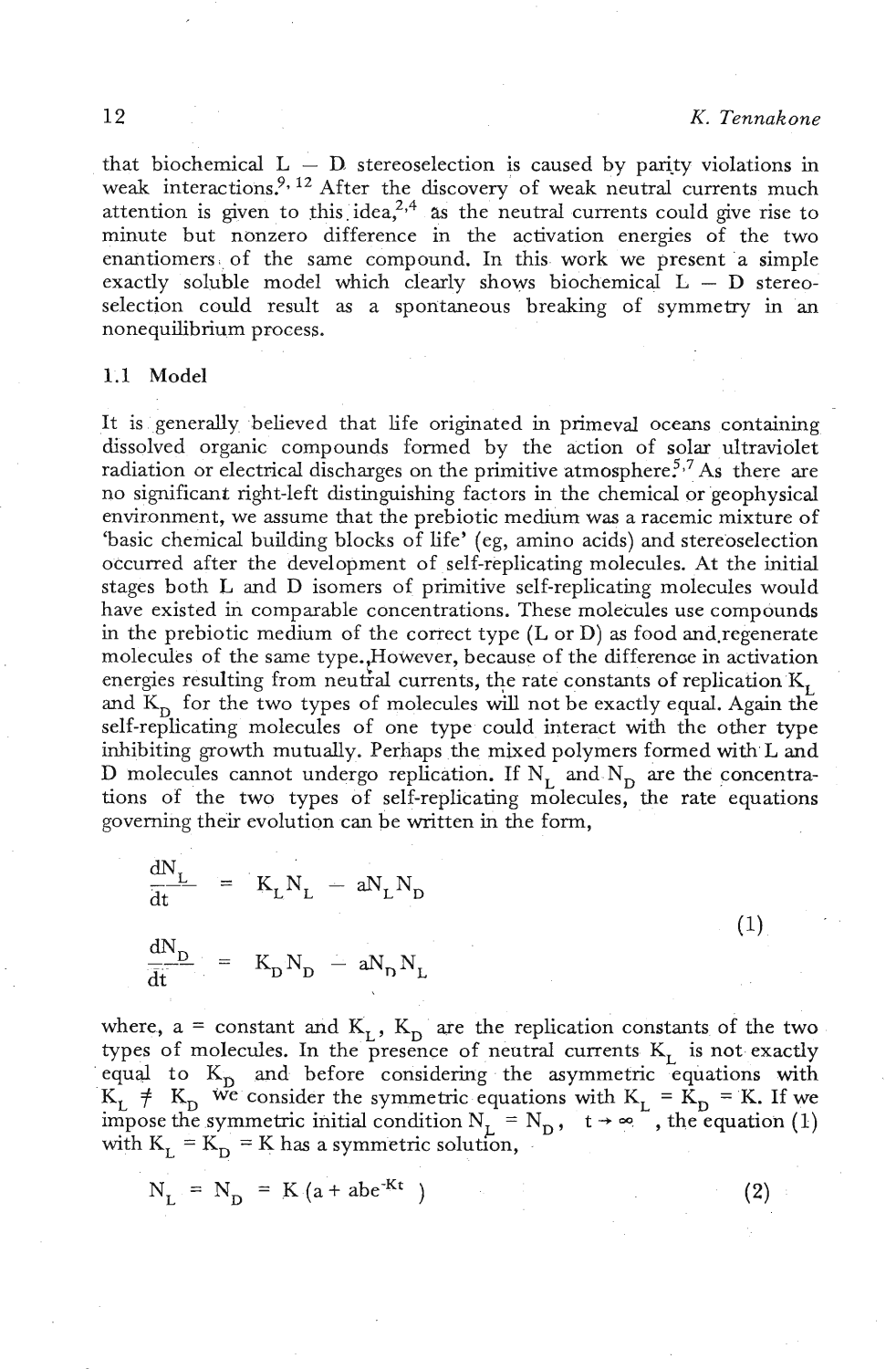$(1)$ 

 $(2)$ 

that biochemical  $L - D$  stereoselection is caused by parity violations in weak interactions.<sup>9, 12</sup> After the discovery of weak neutral currents much attention is given to this idea,<sup>2,4</sup> as the neutral currents could give rise to minute but nonzero difference in the activation energies of the two enantiomers of the same compound. In this work we present a simple exactly soluble model which clearly shows biochemical  $L - D$  stereoselection could result as a spontaneous breaking of symmetry in an nonequilibrium process.

## 1.1 Model

It is generally believed that life originated in primeval oceans containing dissolved organic compounds formed by the action of solar ultraviolet radiation or electrical discharges on the primitive atmosphere<sup>5,7</sup> As there are no significant right-left distinguishing factors in the chemical or geophysical environment, we assume that the prebiotic medium was a racemic mixture of 'basic chemical building blocks of life' (eg, amino acids) and stereoselection occurred after the development of self-replicating molecules. At the initial stages both L and D isomers of primitive self-replicating molecules would have existed in comparable concentrations. These molecules use compounds in the prebiotic medium of the correct type  $(L \text{ or } D)$  as food and regenerate molecules of the same type., However, because of the difference in activation energies resulting from neutral currents, the rate constants of replication  $K_L$ and  $K_D$  for the two types of molecules will not be exactly equal. Again the self-replicating molecules of one type could interact with the other type inhibiting growth mutually. Perhaps the mixed polymers formed with L and D molecules cannot undergo replication. If  $N_L^-$  and  $N_D^-$  are the concentrations of the two types of self-replicating molecules, the rate equations governing their evolution can be written in the form,

$$
\frac{dN_{L}}{dt} = K_{L}N_{L} - aN_{L}N_{D}
$$

$$
\frac{dN_{D}}{dt} = K_{D}N_{D} - aN_{D}N_{L}
$$

where,  $a = constant$  and  $K_L$ ,  $K_D$  are the replication constants of the two types of molecules. In the presence of neutral currents  $K_L$  is not exactly equal to  $K_D$  and before considering the asymmetric equations with  $K_L \neq K_D$  we consider the symmetric equations with  $K_L = K_D = K$ . If we impose the symmetric initial condition  $N_L = N_D$ ,  $t \rightarrow \infty$ , the equation (1) with  $K_L = K_D = K$  has a symmetric solution,

$$
N_{L} = N_{D} = K (a + abe^{-Kt})
$$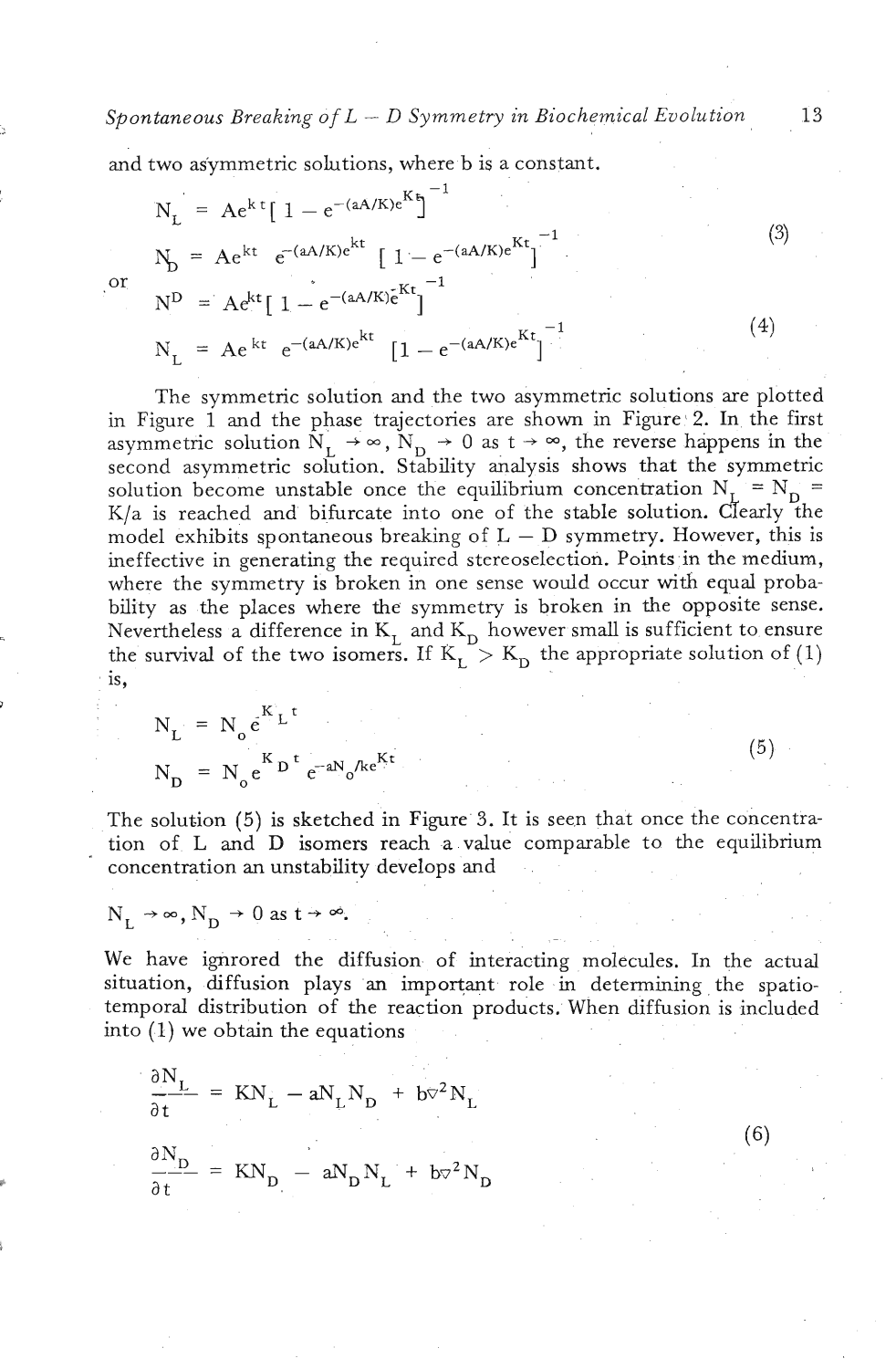*Spontaneous Breaking of L* - *D Symmetry in Biochemical Evolution* <sup>13</sup>

and two asymmetric solutions, where b is a constant.

$$
N_{L} = Ae^{kt} [1 - e^{-(aA/K)e^{Kt}}]^{-1}
$$
\n
$$
N_{D} = Ae^{kt} e^{-(aA/K)e^{kt}} [1 - e^{-(aA/K)e^{Kt}}]^{-1}
$$
\n
$$
N^{D} = Ae^{kt} [1 - e^{-(aA/K)e^{Kt}}]^{-1}
$$
\n
$$
N_{L} = Ae^{kt} e^{-(aA/K)e^{kt}} [1 - e^{-(aA/K)e^{Kt}}]^{-1}
$$
\n(4)

The symmetric solution and the two asymmetric solutions are plotted in Figure 1 and the phase trajectories are shown in Figure 2. In the first asymmetric solution  $N_L \rightarrow \infty$ ,  $N_D \rightarrow 0$  as  $t \rightarrow \infty$ , the reverse happens in the second asymmetric solution. Stability analysis shows that the symmetric solution become unstable once the equilibrium concentration  $N_L = N_D$  =  $K/a$  is reached and bifurcate into one of the stable solution. Clearly the model exhibits spontaneous breaking of  $L - D$  symmetry. However, this is ineffective in generating the required stereoselection. Points in the medium, where the symmetry is broken in one sense would occur with equal probability as the places where the symmetry is broken in the opposite sense. Nevertheless a difference in  $K_{\tau}$  and  $K_{\tau}$  however small is sufficient to ensure the survival of the two isomers. If  $K_L > K_D$  the appropriate solution of (1) is,

$$
N_{L} = N_{o} e^{K_{L}t}
$$

$$
N_{D} = N_{o} e^{K_{D}t} e^{-aN_{o}/ke^{Kt}}
$$

The solution (5) is sketched in Figure **3.** It is seen that once the concentration of L and D isomers reach a value comparable to the equilibrium " concentration an unstability develops **and** 

$$
N_{\rm t} \rightarrow \infty
$$
,  $N_{\rm D} \rightarrow 0$  as  $t \rightarrow \infty$ .

 $\alpha$ 

We have ignrored the diffusion of interacting molecules. In the actual situation, diffusion plays an important role in determining the spatiotemporal distribution of the reaction products. When diffusion is included into (1) we obtain the equations

$$
\frac{\partial N_{L}}{\partial t} = KN_{L} - aN_{L}N_{D} + b\sigma^{2}N_{L}
$$

$$
\frac{\partial N_{D}}{\partial t} = KN_{D} - aN_{D}N_{L} + b\sigma^{2}N_{D}
$$

 $(6)$ 

 $(5)$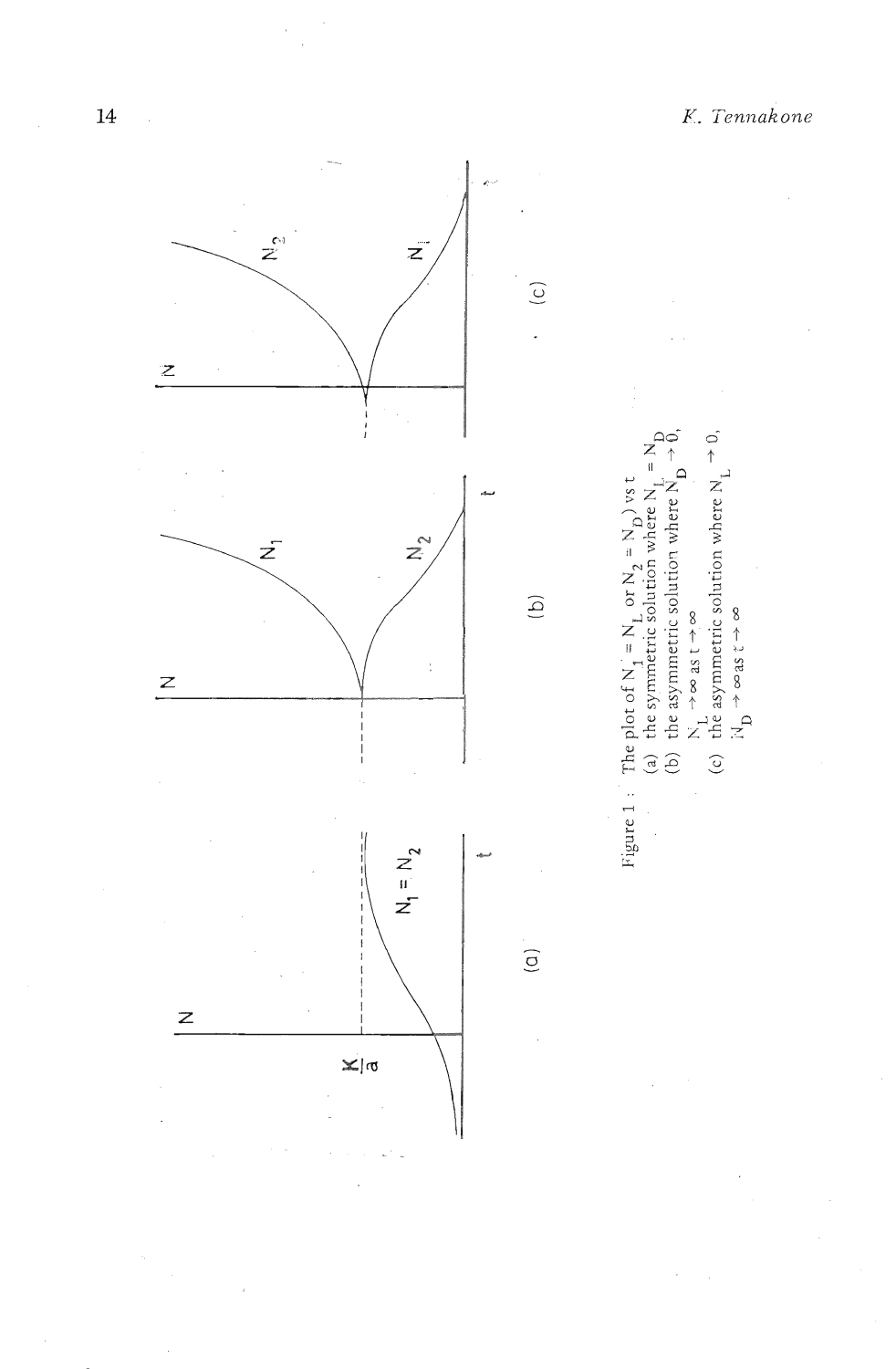N<sub>1</sub>  $\rightarrow \infty$  as t  $\rightarrow \infty$ <br>the asymmetric solution where N<sub>1</sub>  $\rightarrow$  0,<br>iV<sub>1</sub>  $\rightarrow \infty$  as t  $\rightarrow \infty$ 

 $\overline{c}$ 

the asymmetric solution where  $\breve{\mathrm{N}}_{\mathrm{D}}$  .

Figure 1 : The plot of  $N_1 = N_L$  or  $N_2 = N_D$ ) vs t<br>(a) the symmetric solution where  $N_L$  =<br>(b) the asymmetric solution where  $N_R$ 

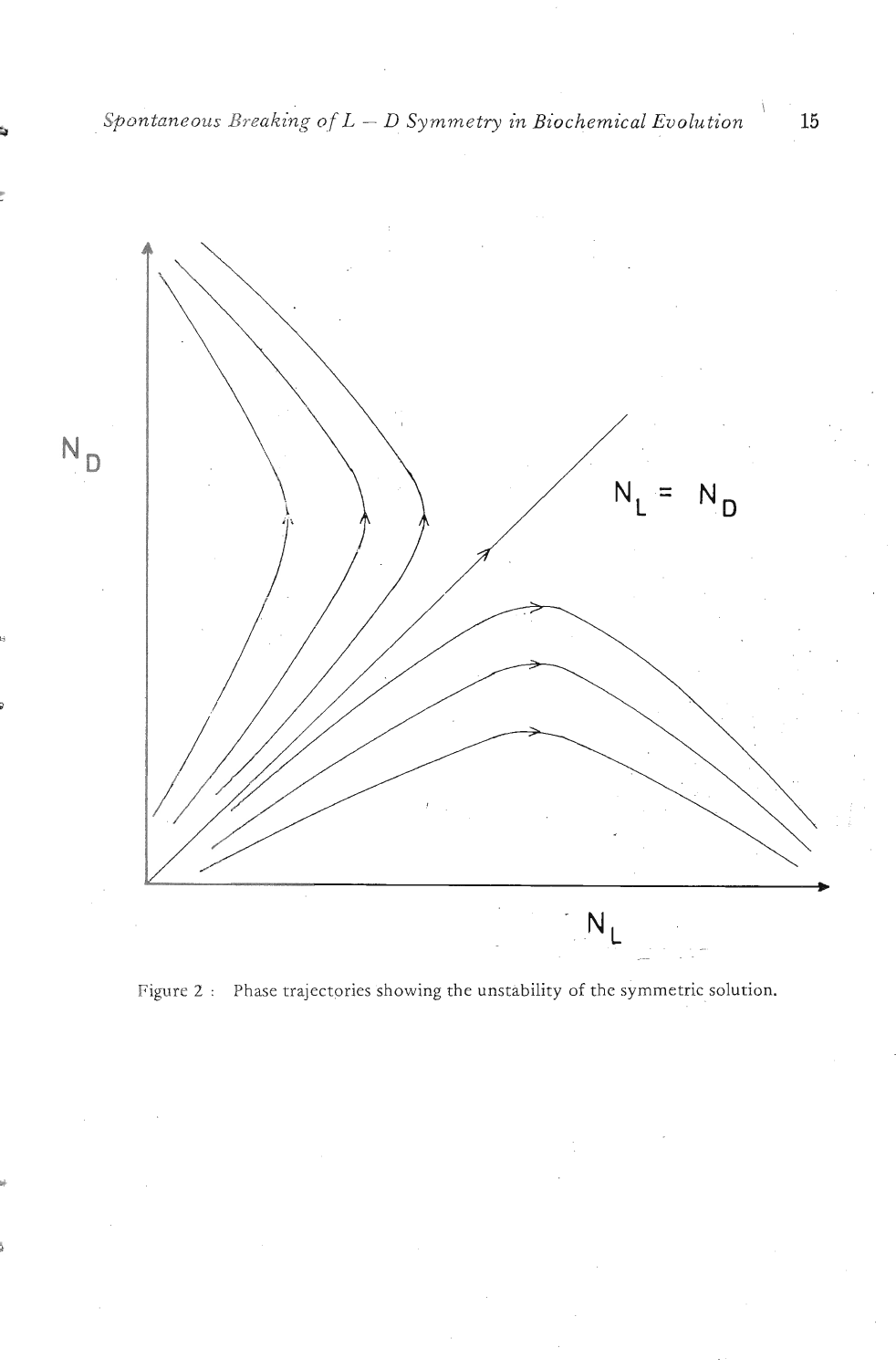

Figure 2 : Phase trajectories showing the unstability of the symmetric solution.

\